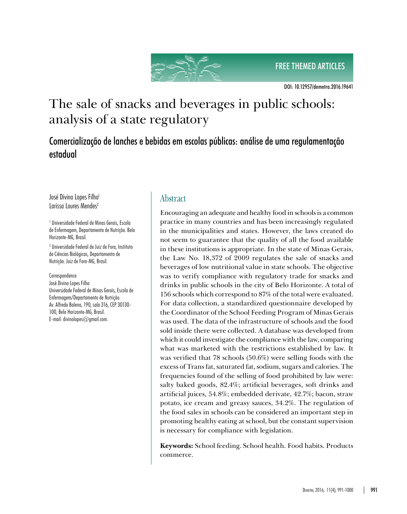FREE THEMED ARTICLES



DOI: 10.12957/demetra.2016.19641

# The sale of snacks and beverages in public schools: analysis of a state regulatory

Comercialização de lanches e bebidas em escolas públicas: análise de uma regulamentação estadual

José Divino Lopes Filho<sup>1</sup> Larissa Loures Mendes<sup>2</sup>

1 Universidade Federal de Minas Gerais, Escola de Enfermagem, Departamento de Nutrição. Belo Horizonte-MG, Brasil.

2 Universidade Federal de Juiz de Fora, Instituto de Ciências Biológicas, Departamento de Nutrição. Juiz de Fora-MG, Brasil.

Correspondence

José Divino Lopes Filho Universidade Federal de Minas Gerais, Escola de Enfermagem/Departamento de Nutrição. Av. Alfredo Balena, 190, sala 316, CEP 30130- 100, Belo Horizonte-MG, Brasil. E-mail: divinolopes@gmail.com.

## **Abstract**

Encouraging an adequate and healthy food in schools is a common practice in many countries and has been increasingly regulated in the municipalities and states. However, the laws created do not seem to guarantee that the quality of all the food available in these institutions is appropriate. In the state of Minas Gerais, the Law No. 18,372 of 2009 regulates the sale of snacks and beverages of low nutritional value in state schools. The objective was to verify compliance with regulatory trade for snacks and drinks in public schools in the city of Belo Horizonte. A total of 156 schools which correspond to 87% of the total were evaluated. For data collection, a standardized questionnaire developed by the Coordinator of the School Feeding Program of Minas Gerais was used. The data of the infrastructure of schools and the food sold inside there were collected. A database was developed from which it could investigate the compliance with the law, comparing what was marketed with the restrictions established by law. It was verified that 78 schools (50.6%) were selling foods with the excess of Trans fat, saturated fat, sodium, sugars and calories. The frequencies found of the selling of food prohibited by law were: salty baked goods, 82.4%; artificial beverages, soft drinks and artificial juices, 54.8%; embedded derivate, 42.7%; bacon, straw potato, ice cream and greasy sauces, 34.2%. The regulation of the food sales in schools can be considered an important step in promoting healthy eating at school, but the constant supervision is necessary for compliance with legislation.

**Keywords:** School feeding. School health. Food habits. Products commerce.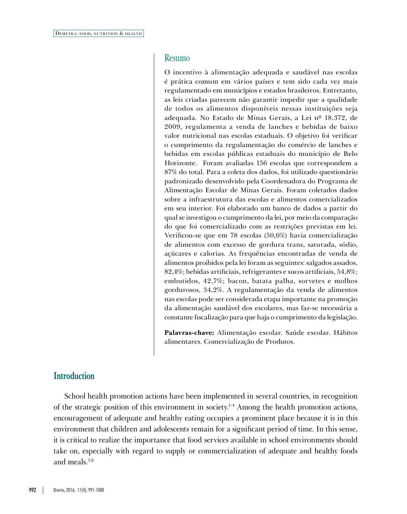#### Resumo

O incentivo à alimentação adequada e saudável nas escolas é prática comum em vários países e tem sido cada vez mais regulamentado em municípios e estados brasileiros. Entretanto, as leis criadas parecem não garantir impedir que a qualidade de todos os alimentos disponíveis nessas instituições seja adequada. No Estado de Minas Gerais, a Lei nº 18.372, de 2009, regulamenta a venda de lanches e bebidas de baixo valor nutricional nas escolas estaduais. O objetivo foi verificar o cumprimento da regulamentação do comércio de lanches e bebidas em escolas públicas estaduais do município de Belo Horizonte. Foram avaliadas 156 escolas que correspondem a 87% do total. Para a coleta dos dados, foi utilizado questionário padronizado desenvolvido pela Coordenadora do Programa de Alimentação Escolar de Minas Gerais. Foram coletados dados sobre a infraestrutura das escolas e alimentos comercializados em seu interior. Foi elaborado um banco de dados a partir do qual se investigou o cumprimento da lei, por meio da comparação do que foi comercializado com as restrições previstas em lei. Verificou-se que em 78 escolas (50,6%) havia comercialização de alimentos com excesso de gordura trans, saturada, sódio, açúcares e calorias. As frequências encontradas de venda de alimentos proibidos pela lei foram as seguintes: salgados assados, 82,4%; bebidas artificiais, refrigerantes e sucos artificiais, 54,8%; embutidos, 42,7%; bacon, batata palha, sorvetes e molhos gordurosos, 34,2%. A regulamentação da venda de alimentos nas escolas pode ser considerada etapa importante na promoção da alimentação saudável dos escolares, mas faz-se necessária a constante fiscalização para que haja o cumprimento da legislação.

**Palavras-chave:** Alimentação escolar. Saúde escolar. Hábitos alimentares. Comercialização de Produtos.

#### **Introduction**

School health promotion actions have been implemented in several countries, in recognition of the strategic position of this environment in society.1-4 Among the health promotion actions, encouragement of adequate and healthy eating occupies a prominent place because it is in this environment that children and adolescents remain for a significant period of time. In this sense, it is critical to realize the importance that food services available in school environments should take on, especially with regard to supply or commercialization of adequate and healthy foods and meals  $5,6$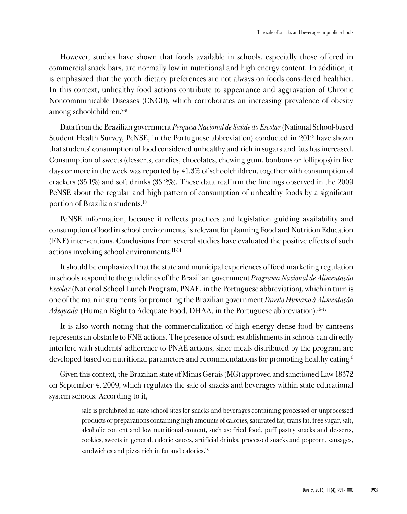However, studies have shown that foods available in schools, especially those offered in commercial snack bars, are normally low in nutritional and high energy content. In addition, it is emphasized that the youth dietary preferences are not always on foods considered healthier. In this context, unhealthy food actions contribute to appearance and aggravation of Chronic Noncommunicable Diseases (CNCD), which corroborates an increasing prevalence of obesity among schoolchildren.7-9

Data from the Brazilian government *Pesquisa Nacional de Saúde do Escolar* (National School-based Student Health Survey, PeNSE, in the Portuguese abbreviation) conducted in 2012 have shown that students' consumption of food considered unhealthy and rich in sugars and fats has increased. Consumption of sweets (desserts, candies, chocolates, chewing gum, bonbons or lollipops) in five days or more in the week was reported by 41.3% of schoolchildren, together with consumption of crackers (35.1%) and soft drinks (33.2%). These data reaffirm the findings observed in the 2009 PeNSE about the regular and high pattern of consumption of unhealthy foods by a significant portion of Brazilian students.10

PeNSE information, because it reflects practices and legislation guiding availability and consumption of food in school environments, is relevant for planning Food and Nutrition Education (FNE) interventions. Conclusions from several studies have evaluated the positive effects of such actions involving school environments.11-14

It should be emphasized that the state and municipal experiences of food marketing regulation in schools respond to the guidelines of the Brazilian government *Programa Nacional de Alimentação Escolar* (National School Lunch Program, PNAE, in the Portuguese abbreviation), which in turn is one of the main instruments for promoting the Brazilian government *Direito Humano à Alimentação Adequada* (Human Right to Adequate Food, DHAA, in the Portuguese abbreviation).15-17

It is also worth noting that the commercialization of high energy dense food by canteens represents an obstacle to FNE actions. The presence of such establishments in schools can directly interfere with students' adherence to PNAE actions, since meals distributed by the program are developed based on nutritional parameters and recommendations for promoting healthy eating.<sup>6</sup>

Given this context, the Brazilian state of Minas Gerais (MG) approved and sanctioned Law 18372 on September 4, 2009, which regulates the sale of snacks and beverages within state educational system schools. According to it,

> sale is prohibited in state school sites for snacks and beverages containing processed or unprocessed products or preparations containing high amounts of calories, saturated fat, trans fat, free sugar, salt, alcoholic content and low nutritional content, such as: fried food, puff pastry snacks and desserts, cookies, sweets in general, caloric sauces, artificial drinks, processed snacks and popcorn, sausages, sandwiches and pizza rich in fat and calories.<sup>18</sup>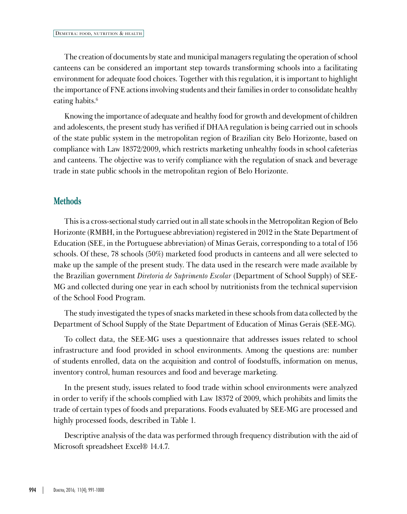The creation of documents by state and municipal managers regulating the operation of school canteens can be considered an important step towards transforming schools into a facilitating environment for adequate food choices. Together with this regulation, it is important to highlight the importance of FNE actions involving students and their families in order to consolidate healthy eating habits.<sup>6</sup>

Knowing the importance of adequate and healthy food for growth and development of children and adolescents, the present study has verified if DHAA regulation is being carried out in schools of the state public system in the metropolitan region of Brazilian city Belo Horizonte, based on compliance with Law 18372/2009, which restricts marketing unhealthy foods in school cafeterias and canteens. The objective was to verify compliance with the regulation of snack and beverage trade in state public schools in the metropolitan region of Belo Horizonte.

#### **Methods**

This is a cross-sectional study carried out in all state schools in the Metropolitan Region of Belo Horizonte (RMBH, in the Portuguese abbreviation) registered in 2012 in the State Department of Education (SEE, in the Portuguese abbreviation) of Minas Gerais, corresponding to a total of 156 schools. Of these, 78 schools (50%) marketed food products in canteens and all were selected to make up the sample of the present study. The data used in the research were made available by the Brazilian government *Diretoria de Suprimento Escolar* (Department of School Supply) of SEE-MG and collected during one year in each school by nutritionists from the technical supervision of the School Food Program.

The study investigated the types of snacks marketed in these schools from data collected by the Department of School Supply of the State Department of Education of Minas Gerais (SEE-MG).

To collect data, the SEE-MG uses a questionnaire that addresses issues related to school infrastructure and food provided in school environments. Among the questions are: number of students enrolled, data on the acquisition and control of foodstuffs, information on menus, inventory control, human resources and food and beverage marketing.

In the present study, issues related to food trade within school environments were analyzed in order to verify if the schools complied with Law 18372 of 2009, which prohibits and limits the trade of certain types of foods and preparations. Foods evaluated by SEE-MG are processed and highly processed foods, described in Table 1.

Descriptive analysis of the data was performed through frequency distribution with the aid of Microsoft spreadsheet Excel® 14.4.7.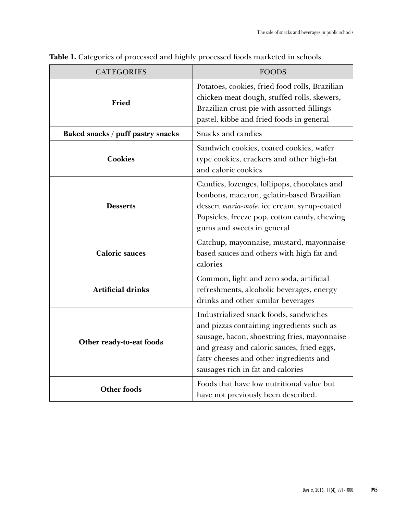| <b>CATEGORIES</b>                 | <b>FOODS</b>                                                                                                                                                                                                                                                      |  |  |  |
|-----------------------------------|-------------------------------------------------------------------------------------------------------------------------------------------------------------------------------------------------------------------------------------------------------------------|--|--|--|
| Fried                             | Potatoes, cookies, fried food rolls, Brazilian<br>chicken meat dough, stuffed rolls, skewers,<br>Brazilian crust pie with assorted fillings<br>pastel, kibbe and fried foods in general                                                                           |  |  |  |
| Baked snacks / puff pastry snacks | Snacks and candies                                                                                                                                                                                                                                                |  |  |  |
| <b>Cookies</b>                    | Sandwich cookies, coated cookies, wafer<br>type cookies, crackers and other high-fat<br>and caloric cookies                                                                                                                                                       |  |  |  |
| <b>Desserts</b>                   | Candies, lozenges, lollipops, chocolates and<br>bonbons, macaron, gelatin-based Brazilian<br>dessert maria-mole, ice cream, syrup-coated<br>Popsicles, freeze pop, cotton candy, chewing<br>gums and sweets in general                                            |  |  |  |
| <b>Caloric sauces</b>             | Catchup, mayonnaise, mustard, mayonnaise-<br>based sauces and others with high fat and<br>calories                                                                                                                                                                |  |  |  |
| Artificial drinks                 | Common, light and zero soda, artificial<br>refreshments, alcoholic beverages, energy<br>drinks and other similar beverages                                                                                                                                        |  |  |  |
| Other ready-to-eat foods          | Industrialized snack foods, sandwiches<br>and pizzas containing ingredients such as<br>sausage, bacon, shoestring fries, mayonnaise<br>and greasy and caloric sauces, fried eggs,<br>fatty cheeses and other ingredients and<br>sausages rich in fat and calories |  |  |  |
| <b>Other foods</b>                | Foods that have low nutritional value but<br>have not previously been described.                                                                                                                                                                                  |  |  |  |

**Table 1.** Categories of processed and highly processed foods marketed in schools.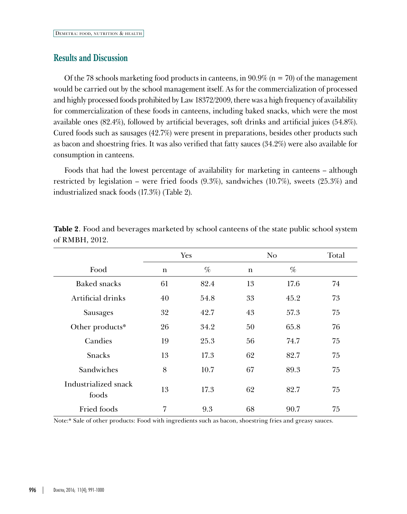#### **Results and Discussion**

Of the 78 schools marketing food products in canteens, in  $90.9\%$  (n = 70) of the management would be carried out by the school management itself. As for the commercialization of processed and highly processed foods prohibited by Law 18372/2009, there was a high frequency of availability for commercialization of these foods in canteens, including baked snacks, which were the most available ones (82.4%), followed by artificial beverages, soft drinks and artificial juices (54.8%). Cured foods such as sausages (42.7%) were present in preparations, besides other products such as bacon and shoestring fries. It was also verified that fatty sauces (34.2%) were also available for consumption in canteens.

Foods that had the lowest percentage of availability for marketing in canteens – although restricted by legislation – were fried foods (9.3%), sandwiches (10.7%), sweets (25.3%) and industrialized snack foods (17.3%) (Table 2).

|                               | Yes         |      | No. |      | Total |
|-------------------------------|-------------|------|-----|------|-------|
| Food                          | $\mathbf n$ | $\%$ | n   | $\%$ |       |
| Baked snacks                  | 61          | 82.4 | 13  | 17.6 | 74    |
| Artificial drinks             | 40          | 54.8 | 33  | 45.2 | 73    |
| Sausages                      | 32          | 42.7 | 43  | 57.3 | 75    |
| Other products*               | 26          | 34.2 | 50  | 65.8 | 76    |
| Candies                       | 19          | 25.3 | 56  | 74.7 | 75    |
| <b>Snacks</b>                 | 13          | 17.3 | 62  | 82.7 | 75    |
| Sandwiches                    | 8           | 10.7 | 67  | 89.3 | 75    |
| Industrialized snack<br>foods | 13          | 17.3 | 62  | 82.7 | 75    |
| Fried foods                   | 7           | 9.3  | 68  | 90.7 | 75    |

**Table 2**. Food and beverages marketed by school canteens of the state public school system of RMBH, 2012.

Note:\* Sale of other products: Food with ingredients such as bacon, shoestring fries and greasy sauces.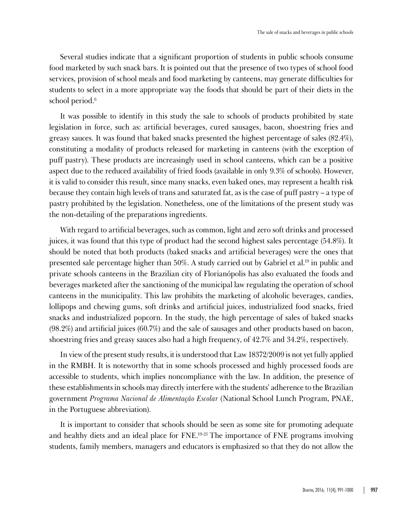Several studies indicate that a significant proportion of students in public schools consume food marketed by such snack bars. It is pointed out that the presence of two types of school food services, provision of school meals and food marketing by canteens, may generate difficulties for students to select in a more appropriate way the foods that should be part of their diets in the school period.<sup>6</sup>

It was possible to identify in this study the sale to schools of products prohibited by state legislation in force, such as: artificial beverages, cured sausages, bacon, shoestring fries and greasy sauces. It was found that baked snacks presented the highest percentage of sales (82.4%), constituting a modality of products released for marketing in canteens (with the exception of puff pastry). These products are increasingly used in school canteens, which can be a positive aspect due to the reduced availability of fried foods (available in only 9.3% of schools). However, it is valid to consider this result, since many snacks, even baked ones, may represent a health risk because they contain high levels of trans and saturated fat, as is the case of puff pastry – a type of pastry prohibited by the legislation. Nonetheless, one of the limitations of the present study was the non-detailing of the preparations ingredients.

With regard to artificial beverages, such as common, light and zero soft drinks and processed juices, it was found that this type of product had the second highest sales percentage (54.8%). It should be noted that both products (baked snacks and artificial beverages) were the ones that presented sale percentage higher than 50%. A study carried out by Gabriel et al.19 in public and private schools canteens in the Brazilian city of Florianópolis has also evaluated the foods and beverages marketed after the sanctioning of the municipal law regulating the operation of school canteens in the municipality. This law prohibits the marketing of alcoholic beverages, candies, lollipops and chewing gums, soft drinks and artificial juices, industrialized food snacks, fried snacks and industrialized popcorn. In the study, the high percentage of sales of baked snacks (98.2%) and artificial juices (60.7%) and the sale of sausages and other products based on bacon, shoestring fries and greasy sauces also had a high frequency, of 42.7% and 34.2%, respectively.

In view of the present study results, it is understood that Law 18372/2009 is not yet fully applied in the RMBH. It is noteworthy that in some schools processed and highly processed foods are accessible to students, which implies noncompliance with the law. In addition, the presence of these establishments in schools may directly interfere with the students' adherence to the Brazilian government *Programa Nacional de Alimentação Escolar* (National School Lunch Program, PNAE, in the Portuguese abbreviation).

It is important to consider that schools should be seen as some site for promoting adequate and healthy diets and an ideal place for FNE.19-21 The importance of FNE programs involving students, family members, managers and educators is emphasized so that they do not allow the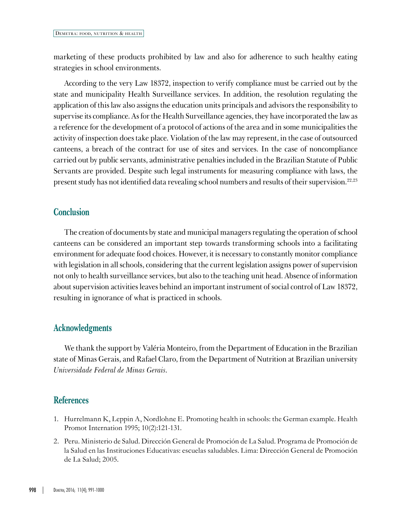marketing of these products prohibited by law and also for adherence to such healthy eating strategies in school environments.

According to the very Law 18372, inspection to verify compliance must be carried out by the state and municipality Health Surveillance services. In addition, the resolution regulating the application of this law also assigns the education units principals and advisors the responsibility to supervise its compliance. As for the Health Surveillance agencies, they have incorporated the law as a reference for the development of a protocol of actions of the area and in some municipalities the activity of inspection does take place. Violation of the law may represent, in the case of outsourced canteens, a breach of the contract for use of sites and services. In the case of noncompliance carried out by public servants, administrative penalties included in the Brazilian Statute of Public Servants are provided. Despite such legal instruments for measuring compliance with laws, the present study has not identified data revealing school numbers and results of their supervision.22,23

#### **Conclusion**

The creation of documents by state and municipal managers regulating the operation of school canteens can be considered an important step towards transforming schools into a facilitating environment for adequate food choices. However, it is necessary to constantly monitor compliance with legislation in all schools, considering that the current legislation assigns power of supervision not only to health surveillance services, but also to the teaching unit head. Absence of information about supervision activities leaves behind an important instrument of social control of Law 18372, resulting in ignorance of what is practiced in schools.

### **Acknowledgments**

We thank the support by Valéria Monteiro, from the Department of Education in the Brazilian state of Minas Gerais, and Rafael Claro, from the Department of Nutrition at Brazilian university *Universidade Federal de Minas Gerais*.

#### **References**

- 1. Hurrelmann K, Leppin A, Nordlohne E. Promoting health in schools: the German example. Health Promot Internation 1995; 10(2):121-131.
- 2. Peru. Ministerio de Salud. Dirección General de Promoción de La Salud. Programa de Promoción de la Salud en las Instituciones Educativas: escuelas saludables. Lima: Dirección General de Promoción de La Salud; 2005.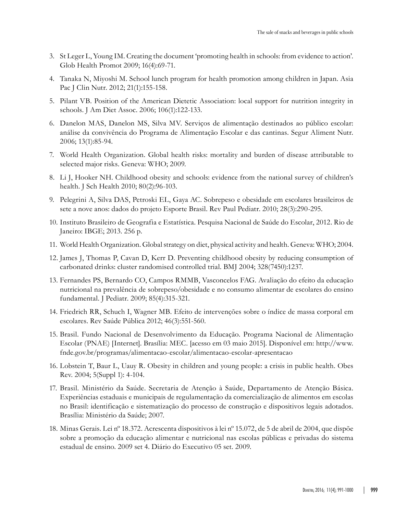- 3. St Leger L, Young IM. Creating the document 'promoting health in schools: from evidence to action'. Glob Health Promot 2009; 16(4):69-71.
- 4. Tanaka N, Miyoshi M. School lunch program for health promotion among children in Japan. Asia Pac J Clin Nutr. 2012; 21(1):155-158.
- 5. Pilant VB. Position of the American Dietetic Association: local support for nutrition integrity in schools. J Am Diet Assoc. 2006; 106(1):122-133.
- 6. Danelon MAS, Danelon MS, Silva MV. Serviços de alimentação destinados ao público escolar: análise da convivência do Programa de Alimentação Escolar e das cantinas. Segur Aliment Nutr. 2006; 13(1):85-94.
- 7. World Health Organization. Global health risks: mortality and burden of disease attributable to selected major risks. Geneva: WHO; 2009.
- 8. Li J, Hooker NH. Childhood obesity and schools: evidence from the national survey of children's health. J Sch Health 2010; 80(2):96-103.
- 9. Pelegrini A, Silva DAS, Petroski EL, Gaya AC. Sobrepeso e obesidade em escolares brasileiros de sete a nove anos: dados do projeto Esporte Brasil. Rev Paul Pediatr. 2010; 28(3):290-295.
- 10. Instituto Brasileiro de Geografia e Estatística. Pesquisa Nacional de Saúde do Escolar, 2012. Rio de Janeiro: IBGE; 2013. 256 p.
- 11. World Health Organization. Global strategy on diet, physical activity and health. Geneva: WHO; 2004.
- 12. James J, Thomas P, Cavan D, Kerr D. Preventing childhood obesity by reducing consumption of carbonated drinks: cluster randomised controlled trial. BMJ 2004; 328(7450):1237.
- 13. Fernandes PS, Bernardo CO, Campos RMMB, Vasconcelos FAG. Avaliação do efeito da educação nutricional na prevalência de sobrepeso/obesidade e no consumo alimentar de escolares do ensino fundamental. J Pediatr. 2009; 85(4):315-321.
- 14. Friedrich RR, Schuch I, Wagner MB. Efeito de intervenções sobre o índice de massa corporal em escolares. Rev Saúde Pública 2012; 46(3):551-560.
- 15. Brasil. Fundo Nacional de Desenvolvimento da Educação. Programa Nacional de Alimentação Escolar (PNAE) [Internet]. Brasília: MEC. [acesso em 03 maio 2015]. Disponível em: [http://www.](http://www.fnde.gov.br/programas/alimentacao-escolar/alimentacao-escolar-apresentacao) [fnde.gov.br/programas/alimentacao-escolar/alimentacao-escolar-apresentacao](http://www.fnde.gov.br/programas/alimentacao-escolar/alimentacao-escolar-apresentacao)
- 16. Lobstein T, Baur L, Uauy R. Obesity in children and young people: a crisis in public health. Obes Rev. 2004; 5(Suppl 1): 4-104.
- 17. Brasil. Ministério da Saúde. Secretaria de Atenção à Saúde, Departamento de Atenção Básica. Experiências estaduais e municipais de regulamentação da comercialização de alimentos em escolas no Brasil: identificação e sistematização do processo de construção e dispositivos legais adotados. Brasília: Ministério da Saúde; 2007.
- 18. Minas Gerais. Lei nº 18.372. Acrescenta dispositivos à lei nº 15.072, de 5 de abril de 2004, que dispõe sobre a promoção da educação alimentar e nutricional nas escolas públicas e privadas do sistema estadual de ensino. 2009 set 4. Diário do Executivo 05 set. 2009.